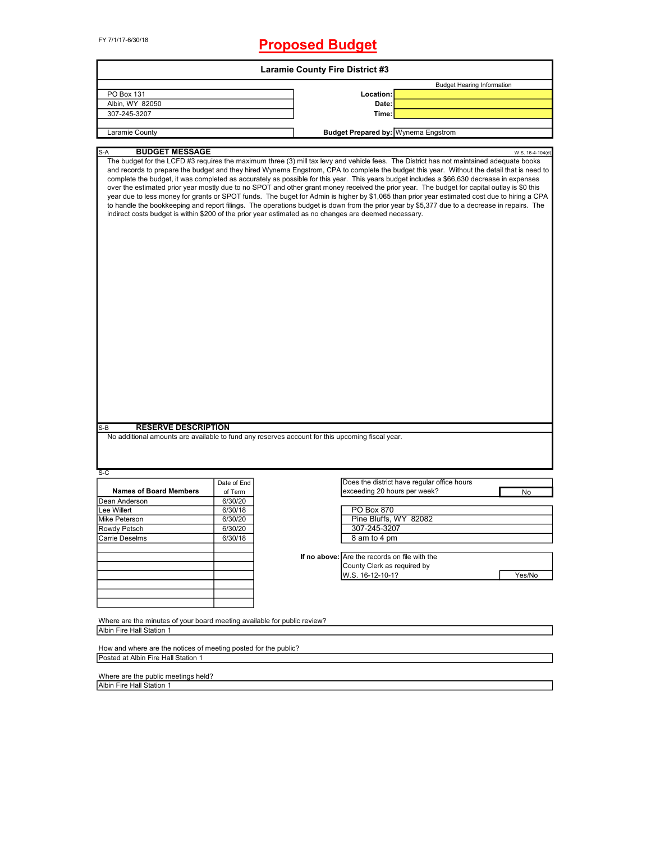FY 7/1/17-6/30/18

# **Proposed Budget**

| <b>Laramie County Fire District #3</b>                                                                                                                                                                                                                                                                                                                                                                                                                                                                                                                                                                                                                                                                                                                                                                                                                                                                                                                                                                                                           |             |  |                                               |                                             |        |  |  |
|--------------------------------------------------------------------------------------------------------------------------------------------------------------------------------------------------------------------------------------------------------------------------------------------------------------------------------------------------------------------------------------------------------------------------------------------------------------------------------------------------------------------------------------------------------------------------------------------------------------------------------------------------------------------------------------------------------------------------------------------------------------------------------------------------------------------------------------------------------------------------------------------------------------------------------------------------------------------------------------------------------------------------------------------------|-------------|--|-----------------------------------------------|---------------------------------------------|--------|--|--|
|                                                                                                                                                                                                                                                                                                                                                                                                                                                                                                                                                                                                                                                                                                                                                                                                                                                                                                                                                                                                                                                  |             |  |                                               | <b>Budget Hearing Information</b>           |        |  |  |
| PO Box 131                                                                                                                                                                                                                                                                                                                                                                                                                                                                                                                                                                                                                                                                                                                                                                                                                                                                                                                                                                                                                                       |             |  | Location:                                     |                                             |        |  |  |
| Albin, WY 82050                                                                                                                                                                                                                                                                                                                                                                                                                                                                                                                                                                                                                                                                                                                                                                                                                                                                                                                                                                                                                                  |             |  | Date:                                         |                                             |        |  |  |
| 307-245-3207                                                                                                                                                                                                                                                                                                                                                                                                                                                                                                                                                                                                                                                                                                                                                                                                                                                                                                                                                                                                                                     |             |  | Time:                                         |                                             |        |  |  |
|                                                                                                                                                                                                                                                                                                                                                                                                                                                                                                                                                                                                                                                                                                                                                                                                                                                                                                                                                                                                                                                  |             |  |                                               |                                             |        |  |  |
| Laramie County                                                                                                                                                                                                                                                                                                                                                                                                                                                                                                                                                                                                                                                                                                                                                                                                                                                                                                                                                                                                                                   |             |  |                                               | <b>Budget Prepared by: Wynema Engstrom</b>  |        |  |  |
|                                                                                                                                                                                                                                                                                                                                                                                                                                                                                                                                                                                                                                                                                                                                                                                                                                                                                                                                                                                                                                                  |             |  |                                               |                                             |        |  |  |
| <b>BUDGET MESSAGE</b><br>S-A<br>W.S. 16-4-104(d)<br>The budget for the LCFD #3 requires the maximum three (3) mill tax levy and vehicle fees. The District has not maintained adequate books<br>and records to prepare the budget and they hired Wynema Engstrom, CPA to complete the budget this year. Without the detail that is need to<br>complete the budget, it was completed as accurately as possible for this year. This years budget includes a \$66,630 decrease in expenses<br>over the estimated prior year mostly due to no SPOT and other grant money received the prior year. The budget for capital outlay is \$0 this<br>year due to less money for grants or SPOT funds. The buget for Admin is higher by \$1,065 than prior year estimated cost due to hiring a CPA<br>to handle the bookkeeping and report filings. The operations budget is down from the prior year by \$5,377 due to a decrease in repairs. The<br>indirect costs budget is within \$200 of the prior year estimated as no changes are deemed necessary. |             |  |                                               |                                             |        |  |  |
| <b>RESERVE DESCRIPTION</b>                                                                                                                                                                                                                                                                                                                                                                                                                                                                                                                                                                                                                                                                                                                                                                                                                                                                                                                                                                                                                       |             |  |                                               |                                             |        |  |  |
| S-B<br>No additional amounts are available to fund any reserves account for this upcoming fiscal year.                                                                                                                                                                                                                                                                                                                                                                                                                                                                                                                                                                                                                                                                                                                                                                                                                                                                                                                                           |             |  |                                               |                                             |        |  |  |
| S-C                                                                                                                                                                                                                                                                                                                                                                                                                                                                                                                                                                                                                                                                                                                                                                                                                                                                                                                                                                                                                                              | Date of End |  |                                               | Does the district have regular office hours |        |  |  |
| <b>Names of Board Members</b>                                                                                                                                                                                                                                                                                                                                                                                                                                                                                                                                                                                                                                                                                                                                                                                                                                                                                                                                                                                                                    | of Term     |  | exceeding 20 hours per week?                  |                                             | No     |  |  |
| Dean Anderson                                                                                                                                                                                                                                                                                                                                                                                                                                                                                                                                                                                                                                                                                                                                                                                                                                                                                                                                                                                                                                    | 6/30/20     |  |                                               |                                             |        |  |  |
| Lee Willert                                                                                                                                                                                                                                                                                                                                                                                                                                                                                                                                                                                                                                                                                                                                                                                                                                                                                                                                                                                                                                      | 6/30/18     |  | PO Box 870                                    |                                             |        |  |  |
| Mike Peterson                                                                                                                                                                                                                                                                                                                                                                                                                                                                                                                                                                                                                                                                                                                                                                                                                                                                                                                                                                                                                                    | 6/30/20     |  | Pine Bluffs, WY 82082                         |                                             |        |  |  |
| Rowdy Petsch                                                                                                                                                                                                                                                                                                                                                                                                                                                                                                                                                                                                                                                                                                                                                                                                                                                                                                                                                                                                                                     | 6/30/20     |  | 307-245-3207                                  |                                             |        |  |  |
| Carrie Deselms                                                                                                                                                                                                                                                                                                                                                                                                                                                                                                                                                                                                                                                                                                                                                                                                                                                                                                                                                                                                                                   | 6/30/18     |  | 8 am to 4 pm                                  |                                             |        |  |  |
|                                                                                                                                                                                                                                                                                                                                                                                                                                                                                                                                                                                                                                                                                                                                                                                                                                                                                                                                                                                                                                                  |             |  |                                               |                                             |        |  |  |
|                                                                                                                                                                                                                                                                                                                                                                                                                                                                                                                                                                                                                                                                                                                                                                                                                                                                                                                                                                                                                                                  |             |  | If no above: Are the records on file with the |                                             |        |  |  |
|                                                                                                                                                                                                                                                                                                                                                                                                                                                                                                                                                                                                                                                                                                                                                                                                                                                                                                                                                                                                                                                  |             |  | County Clerk as required by                   |                                             |        |  |  |
|                                                                                                                                                                                                                                                                                                                                                                                                                                                                                                                                                                                                                                                                                                                                                                                                                                                                                                                                                                                                                                                  |             |  | W.S. 16-12-10-1?                              |                                             | Yes/No |  |  |
|                                                                                                                                                                                                                                                                                                                                                                                                                                                                                                                                                                                                                                                                                                                                                                                                                                                                                                                                                                                                                                                  |             |  |                                               |                                             |        |  |  |
|                                                                                                                                                                                                                                                                                                                                                                                                                                                                                                                                                                                                                                                                                                                                                                                                                                                                                                                                                                                                                                                  |             |  |                                               |                                             |        |  |  |
|                                                                                                                                                                                                                                                                                                                                                                                                                                                                                                                                                                                                                                                                                                                                                                                                                                                                                                                                                                                                                                                  |             |  |                                               |                                             |        |  |  |
|                                                                                                                                                                                                                                                                                                                                                                                                                                                                                                                                                                                                                                                                                                                                                                                                                                                                                                                                                                                                                                                  |             |  |                                               |                                             |        |  |  |
| Where are the minutes of your board meeting available for public review?                                                                                                                                                                                                                                                                                                                                                                                                                                                                                                                                                                                                                                                                                                                                                                                                                                                                                                                                                                         |             |  |                                               |                                             |        |  |  |
| Albin Fire Hall Station 1                                                                                                                                                                                                                                                                                                                                                                                                                                                                                                                                                                                                                                                                                                                                                                                                                                                                                                                                                                                                                        |             |  |                                               |                                             |        |  |  |
| How and where are the notices of meeting posted for the public?                                                                                                                                                                                                                                                                                                                                                                                                                                                                                                                                                                                                                                                                                                                                                                                                                                                                                                                                                                                  |             |  |                                               |                                             |        |  |  |
| Posted at Albin Fire Hall Station 1                                                                                                                                                                                                                                                                                                                                                                                                                                                                                                                                                                                                                                                                                                                                                                                                                                                                                                                                                                                                              |             |  |                                               |                                             |        |  |  |
|                                                                                                                                                                                                                                                                                                                                                                                                                                                                                                                                                                                                                                                                                                                                                                                                                                                                                                                                                                                                                                                  |             |  |                                               |                                             |        |  |  |

Where are the public meetings held? Albin Fire Hall Station 1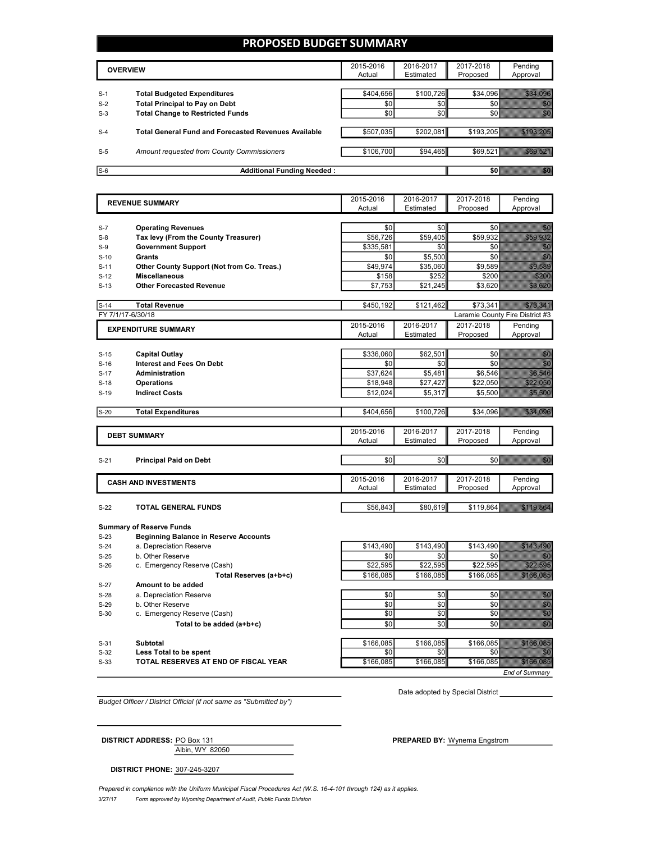### **PROPOSED BUDGET SUMMARY**

|       | <b>OVERVIEW</b>                                             | 2015-2016<br>Actual | 2016-2017<br>Estimated | 2017-2018<br>Proposed | Pending<br>Approval |
|-------|-------------------------------------------------------------|---------------------|------------------------|-----------------------|---------------------|
| $S-1$ | <b>Total Budgeted Expenditures</b>                          | \$404.656           | \$100.726              | \$34.096              |                     |
| $S-2$ | <b>Total Principal to Pay on Debt</b>                       | \$0                 | \$0                    |                       |                     |
| $S-3$ | <b>Total Change to Restricted Funds</b>                     | \$0                 | \$0                    |                       |                     |
|       |                                                             |                     |                        |                       |                     |
| $S-4$ | <b>Total General Fund and Forecasted Revenues Available</b> | \$507,035           | \$202,081              | \$193.205             |                     |
|       |                                                             |                     |                        |                       |                     |
| $S-5$ | Amount requested from County Commissioners                  | \$106,700           | \$94,465               |                       | \$69,521            |
|       |                                                             |                     |                        |                       |                     |
| $S-6$ | <b>Additional Funding Needed:</b>                           |                     |                        |                       |                     |

| <b>REVENUE SUMMARY</b> |                                              | 2015-2016        | 2016-2017        | 2017-2018        | Pending                                                                                                                                                                                                                              |
|------------------------|----------------------------------------------|------------------|------------------|------------------|--------------------------------------------------------------------------------------------------------------------------------------------------------------------------------------------------------------------------------------|
|                        |                                              | Actual           | Estimated        | Proposed         | Approval                                                                                                                                                                                                                             |
|                        |                                              |                  |                  |                  |                                                                                                                                                                                                                                      |
| $S-7$                  | <b>Operating Revenues</b>                    | \$0              | \$0              | \$0              | <u>tiko d</u>                                                                                                                                                                                                                        |
| $S-8$                  | Tax levy (From the County Treasurer)         | \$56,726         | \$59,405         | \$59,932         | <b>Romando</b>                                                                                                                                                                                                                       |
| $S-9$                  | <b>Government Support</b>                    | \$335,581        | \$0              | \$0              | en de la filosofia<br>Altres de la filosofia                                                                                                                                                                                         |
| $S-10$                 | Grants                                       | \$0              | \$5,500          | \$0              | en de la familie de la familie de la familie de la familie de la familie de la familie de la familie de la fa<br>Constituit de la familie de la familie de la familie de la familie de la familie de la familie de la familie d      |
| $S-11$                 | Other County Support (Not from Co. Treas.)   | \$49,974         | \$35,060         | \$9,589          | <b>Santana</b>                                                                                                                                                                                                                       |
| $S-12$                 | <b>Miscellaneous</b>                         | \$158            | \$252            | \$200            | SZ                                                                                                                                                                                                                                   |
| $S-13$                 | <b>Other Forecasted Revenue</b>              | \$7,753          | \$21,245         | \$3,620          | <u> Salari </u>                                                                                                                                                                                                                      |
|                        |                                              |                  |                  |                  |                                                                                                                                                                                                                                      |
| $S-14$                 | <b>Total Revenue</b>                         | \$450,192        | \$121,462        | \$73,341         |                                                                                                                                                                                                                                      |
|                        | FY 7/1/17-6/30/18                            |                  |                  |                  | Laramie County Fire District #3                                                                                                                                                                                                      |
|                        | <b>EXPENDITURE SUMMARY</b>                   | 2015-2016        | 2016-2017        | 2017-2018        | Pending                                                                                                                                                                                                                              |
|                        |                                              | Actual           | Estimated        | Proposed         | Approval                                                                                                                                                                                                                             |
|                        |                                              |                  |                  |                  |                                                                                                                                                                                                                                      |
| $S-15$                 | <b>Capital Outlay</b>                        | \$336,060        | \$62,501         | \$0              | e de la composición de la composición de la composición de la composición de la composición de la composición<br>Altre de la composición de la composición de la composición de la composición de la composición de la composic<br>C |
| $S-16$                 | <b>Interest and Fees On Debt</b>             | \$0              | \$0              | \$0              |                                                                                                                                                                                                                                      |
| $S-17$                 | <b>Administration</b>                        | \$37.624         | \$5.481          | \$6.546          | <b>SERBAC</b>                                                                                                                                                                                                                        |
| $S-18$                 | <b>Operations</b>                            | \$18,948         | \$27,427         | \$22,050         | <u>Silli Stats</u>                                                                                                                                                                                                                   |
| $S-19$                 | <b>Indirect Costs</b>                        | \$12,024         | \$5,317          | \$5,500          | 33.38                                                                                                                                                                                                                                |
|                        |                                              |                  |                  |                  |                                                                                                                                                                                                                                      |
| $S-20$                 | <b>Total Expenditures</b>                    | \$404,656        | \$100,726        | \$34,096         | 234.335                                                                                                                                                                                                                              |
|                        |                                              |                  |                  |                  |                                                                                                                                                                                                                                      |
|                        | <b>DEBT SUMMARY</b>                          | 2015-2016        | 2016-2017        | 2017-2018        | Pending                                                                                                                                                                                                                              |
|                        |                                              | Actual           | Estimated        | Proposed         | Approval                                                                                                                                                                                                                             |
|                        |                                              |                  |                  |                  |                                                                                                                                                                                                                                      |
| $S-21$                 | <b>Principal Paid on Debt</b>                | \$0              | \$0              | \$0              | en eller<br>Stadt skrivet                                                                                                                                                                                                            |
|                        |                                              |                  |                  |                  |                                                                                                                                                                                                                                      |
|                        | <b>CASH AND INVESTMENTS</b>                  | 2015-2016        | 2016-2017        | 2017-2018        | Pending                                                                                                                                                                                                                              |
|                        |                                              | Actual           | Estimated        | Proposed         | Approval                                                                                                                                                                                                                             |
|                        |                                              |                  |                  |                  |                                                                                                                                                                                                                                      |
| $S-22$                 | <b>TOTAL GENERAL FUNDS</b>                   | \$56,843         | \$80,619         |                  | \$119,864 \$119.864                                                                                                                                                                                                                  |
|                        |                                              |                  |                  |                  |                                                                                                                                                                                                                                      |
|                        | <b>Summary of Reserve Funds</b>              |                  |                  |                  |                                                                                                                                                                                                                                      |
| $S-23$                 | <b>Beginning Balance in Reserve Accounts</b> |                  |                  |                  | <u> Kalendaria (</u>                                                                                                                                                                                                                 |
| $S-24$                 | a. Depreciation Reserve<br>b. Other Reserve  | \$143,490<br>\$0 | \$143,490<br>\$0 | \$143,490<br>\$0 | e e controllo                                                                                                                                                                                                                        |
| $S-25$                 |                                              |                  | \$22,595         |                  | <u> Kalendaria (</u>                                                                                                                                                                                                                 |
| $S-26$                 | c. Emergency Reserve (Cash)                  | \$22,595         |                  | \$22,595         |                                                                                                                                                                                                                                      |
|                        | Total Reserves (a+b+c)                       | \$166,085        | \$166,085        | \$166,085        | <b>RASS OBS</b>                                                                                                                                                                                                                      |
| S-27                   | Amount to be added                           |                  |                  |                  |                                                                                                                                                                                                                                      |
| $S-28$                 | a. Depreciation Reserve                      | \$0              | \$0              | \$0              | en de la f                                                                                                                                                                                                                           |
| $S-29$                 | b. Other Reserve                             | \$0              | \$0              | \$0              | en de la filosofia<br>Alba                                                                                                                                                                                                           |
| $S-30$                 | c. Emergency Reserve (Cash)                  | \$0              | \$0              | \$0              | en de la filosofia<br>Maria de la filosofia                                                                                                                                                                                          |
|                        | Total to be added (a+b+c)                    | \$0              | \$0              | \$0              | en en de la familie de la familie de la familie de la familie de la familie de la familie de la familie de la<br>Establecidad                                                                                                        |

S-31 **Subtotal** \$166,085 \$166,085 \$166,085 **Less Total to be spent because the contract of the contract of the spent solution of the spent solution of the spent solution of the spent solution of the spent solution of the spent solution of the spent solution of th** S-33 **TOTAL RESERVES AT END OF FISCAL YEAR** \$166,085 \$166,085 \$166,085 \$166,085

*End of Summary*

*Budget Officer / District Official (if not same as "Submitted by")*

Date adopted by Special District

Albin, WY 82050 **DISTRICT ADDRESS:** PO Box 131 **PREPARED BY:** Wynema Engstrom

**DISTRICT PHONE:** 307-245-3207

3/27/17 *Form approved by Wyoming Department of Audit, Public Funds Division* Prepared in compliance with the Uniform Municipal Fiscal Procedures Act (W.S. 16-4-101 through 124) as it applies.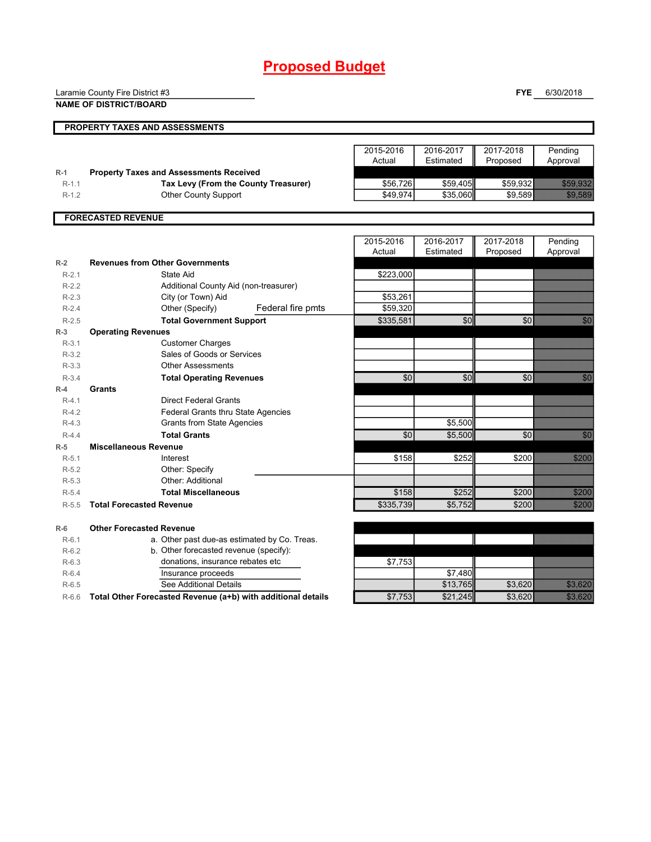# **Proposed Budget**

|                  | Laramie County Fire District #3                              |           |           | <b>FYE</b> | 6/30/2018                        |
|------------------|--------------------------------------------------------------|-----------|-----------|------------|----------------------------------|
|                  | <b>NAME OF DISTRICT/BOARD</b>                                |           |           |            |                                  |
|                  | PROPERTY TAXES AND ASSESSMENTS                               |           |           |            |                                  |
|                  |                                                              |           |           |            |                                  |
|                  |                                                              | 2015-2016 | 2016-2017 | 2017-2018  | Pending                          |
|                  |                                                              | Actual    | Estimated | Proposed   | Approval                         |
| $R-1$            | <b>Property Taxes and Assessments Received</b>               |           |           |            |                                  |
| $R-1.1$          | Tax Levy (From the County Treasurer)                         | \$56,726  | \$59,405  | \$59,932   | <b>RESIDENT</b>                  |
| $R-1.2$          | <b>Other County Support</b>                                  | \$49.974  | \$35,060  | \$9,589    | <b>RADAR AND STATE</b>           |
|                  |                                                              |           |           |            |                                  |
|                  | <b>FORECASTED REVENUE</b>                                    |           |           |            |                                  |
|                  |                                                              |           |           |            |                                  |
|                  |                                                              | 2015-2016 | 2016-2017 | 2017-2018  | Pending                          |
|                  |                                                              | Actual    | Estimated | Proposed   | Approval                         |
| $R-2$            | <b>Revenues from Other Governments</b>                       |           |           |            |                                  |
| $R-2.1$          | State Aid                                                    | \$223,000 |           |            |                                  |
| $R-2.2$          | Additional County Aid (non-treasurer)                        |           |           |            |                                  |
| $R-2.3$          | City (or Town) Aid                                           | \$53,261  |           |            |                                  |
| $R-2.4$          | Other (Specify)<br>Federal fire pmts                         | \$59,320  |           |            |                                  |
| $R-2.5$          | <b>Total Government Support</b>                              | \$335,581 | \$0       | \$0        | <b>BAR</b>                       |
| $R-3$<br>$R-3.1$ | <b>Operating Revenues</b>                                    |           |           |            |                                  |
| $R-3.2$          | <b>Customer Charges</b><br>Sales of Goods or Services        |           |           |            |                                  |
| $R-3.3$          | <b>Other Assessments</b>                                     |           |           |            |                                  |
| $R-3.4$          | <b>Total Operating Revenues</b>                              | \$0       | \$0       | \$0        | an dhe                           |
| $R-4$            | Grants                                                       |           |           |            |                                  |
| $R-4.1$          | <b>Direct Federal Grants</b>                                 |           |           |            |                                  |
| $R-4.2$          | <b>Federal Grants thru State Agencies</b>                    |           |           |            |                                  |
| $R-4.3$          | <b>Grants from State Agencies</b>                            |           | \$5,500   |            |                                  |
| $R-4.4$          | <b>Total Grants</b>                                          | \$0       | \$5,500   | \$0        | en eller<br>Britten              |
| $R-5$            | <b>Miscellaneous Revenue</b>                                 |           |           |            |                                  |
| $R-5.1$          | Interest                                                     | \$158     | \$252     | \$200      | <b>SANDA</b>                     |
| $R-5.2$          | Other: Specify                                               |           |           |            |                                  |
| $R-5.3$          | Other: Additional                                            |           |           |            |                                  |
| $R-5.4$          | <b>Total Miscellaneous</b>                                   | \$158     | \$252     | \$200      | <b>SZARKA</b>                    |
| $R-5.5$          | <b>Total Forecasted Revenue</b>                              | \$335,739 | \$5,752   | \$200      |                                  |
| $R-6$            | <b>Other Forecasted Revenue</b>                              |           |           |            |                                  |
| $R-6.1$          | a. Other past due-as estimated by Co. Treas.                 |           |           |            |                                  |
| $R-6.2$          | b. Other forecasted revenue (specify):                       |           |           |            |                                  |
| $R-6.3$          | donations, insurance rebates etc                             | \$7,753   |           |            |                                  |
| $R-6.4$          | Insurance proceeds                                           |           | \$7,480   |            |                                  |
| $R-6.5$          | See Additional Details                                       |           | \$13.765  | \$3.620    | <b>SANTA DE LA PRODUCTIVA DE</b> |
| $R-6.6$          | Total Other Forecasted Revenue (a+b) with additional details | \$7,753   | \$21,245  | \$3,620    | UMUMUMU<br>UMUMUMUM              |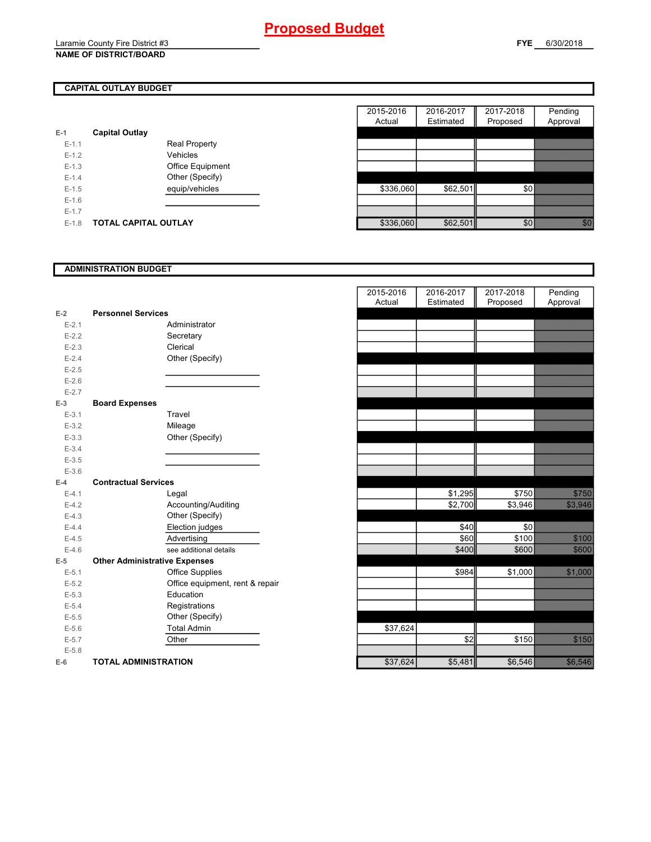## **CAPITAL OUTLAY BUDGET**

| E-1       | <b>Capital Outlay</b> |                         |
|-----------|-----------------------|-------------------------|
| $E - 1.1$ |                       | <b>Real Property</b>    |
| $E - 1.2$ |                       | Vehicles                |
| $F-1.3$   |                       | <b>Office Equipment</b> |
| $F-14$    |                       | Other (Specify)         |
| $F-1.5$   |                       | equip/vehicles          |
| $F-16$    |                       |                         |
| $E - 1.7$ |                       |                         |
| E-1.8     | TOTAL CAPITAL OUTLAY  |                         |

|         |                       |                      | 2015-2016 | 2016-2017 | 2017-2018 | Pending         |
|---------|-----------------------|----------------------|-----------|-----------|-----------|-----------------|
|         |                       |                      | Actual    | Estimated | Proposed  | Approval        |
|         | <b>Capital Outlay</b> |                      |           |           |           |                 |
| $E-1.1$ |                       | <b>Real Property</b> |           |           |           |                 |
| $E-1.2$ |                       | Vehicles             |           |           |           |                 |
| $E-1.3$ |                       | Office Equipment     |           |           |           |                 |
| $E-1.4$ |                       | Other (Specify)      |           |           |           |                 |
| $E-1.5$ |                       | equip/vehicles       | \$336,060 | \$62,501  | \$0       |                 |
| $E-1.6$ |                       |                      |           |           |           |                 |
| $E-1.7$ |                       |                      |           |           |           |                 |
| $E-1.8$ | TOTAL CAPITAL OUTLAY  |                      | \$336,060 | \$62,501  | \$0       | <u> Thur Si</u> |

#### **ADMINISTRATION BUDGET**

|           |                                      |                                 | Actual   | Estimated | Proposed |
|-----------|--------------------------------------|---------------------------------|----------|-----------|----------|
| $E-2$     | <b>Personnel Services</b>            |                                 |          |           |          |
| $E - 2.1$ |                                      | Administrator                   |          |           |          |
| $E-2.2$   |                                      | Secretary                       |          |           |          |
| $E-2.3$   |                                      | Clerical                        |          |           |          |
| $E-2.4$   |                                      | Other (Specify)                 |          |           |          |
| $E-2.5$   |                                      |                                 |          |           |          |
| $E-2.6$   |                                      |                                 |          |           |          |
| $E - 2.7$ |                                      |                                 |          |           |          |
| $E-3$     | <b>Board Expenses</b>                |                                 |          |           |          |
| $E - 3.1$ |                                      | Travel                          |          |           |          |
| $E-3.2$   |                                      | Mileage                         |          |           |          |
| $E-3.3$   |                                      | Other (Specify)                 |          |           |          |
| $E - 3.4$ |                                      |                                 |          |           |          |
| $E-3.5$   |                                      |                                 |          |           |          |
| $E - 3.6$ |                                      |                                 |          |           |          |
| $E-4$     | <b>Contractual Services</b>          |                                 |          |           |          |
| $E-4.1$   |                                      | Legal                           |          | \$1,295   | \$750    |
| $E-4.2$   |                                      | Accounting/Auditing             |          | \$2,700   | \$3,946  |
| $E-4.3$   |                                      | Other (Specify)                 |          |           |          |
| $E-4.4$   |                                      | Election judges                 |          | \$40      | \$0      |
| $E-4.5$   |                                      | Advertising                     |          | \$60      | \$100    |
| $E-4.6$   |                                      | see additional details          |          | \$400     | \$600    |
| $E-5$     | <b>Other Administrative Expenses</b> |                                 |          |           |          |
| $E - 5.1$ |                                      | <b>Office Supplies</b>          |          | \$984     | \$1,000  |
| $E-5.2$   |                                      | Office equipment, rent & repair |          |           |          |
| $E - 5.3$ |                                      | Education                       |          |           |          |
| $E-5.4$   |                                      | Registrations                   |          |           |          |
| $E-5.5$   |                                      | Other (Specify)                 |          |           |          |
| $E-5.6$   |                                      | <b>Total Admin</b>              | \$37,624 |           |          |
| $E-5.7$   |                                      | Other                           |          | \$2       | \$150    |
| $E - 5.8$ |                                      |                                 |          |           |          |
| $E-6$     | <b>TOTAL ADMINISTRATION</b>          |                                 | \$37,624 | \$5,481   | \$6,546  |

|                          |                                      |                                 | 2015-2016 | 2016-2017 | 2017-2018 | Pending        |
|--------------------------|--------------------------------------|---------------------------------|-----------|-----------|-----------|----------------|
|                          |                                      |                                 | Actual    | Estimated | Proposed  | Approval       |
| Ż                        | <b>Personnel Services</b>            |                                 |           |           |           |                |
| $E - 2.1$                |                                      | Administrator                   |           |           |           |                |
| $E - 2.2$                |                                      | Secretary                       |           |           |           |                |
| $E - 2.3$                |                                      | Clerical                        |           |           |           |                |
| $E - 2.4$                |                                      | Other (Specify)                 |           |           |           |                |
| $E - 2.5$                |                                      |                                 |           |           |           |                |
| $E - 2.6$                |                                      |                                 |           |           |           |                |
| $E - 2.7$                |                                      |                                 |           |           |           |                |
| $\overline{\phantom{0}}$ | <b>Board Expenses</b>                |                                 |           |           |           |                |
| $E - 3.1$                |                                      | Travel                          |           |           |           |                |
| $E - 3.2$                |                                      | Mileage                         |           |           |           |                |
| $E - 3.3$                |                                      | Other (Specify)                 |           |           |           |                |
| $E - 3.4$                |                                      |                                 |           |           |           |                |
| $E - 3.5$<br>$E - 3.6$   |                                      |                                 |           |           |           |                |
| ļ.                       | <b>Contractual Services</b>          |                                 |           |           |           |                |
| $E - 4.1$                |                                      | Legal                           |           | \$1,295   | \$750     | <b>STARS</b>   |
| $E-4.2$                  |                                      | Accounting/Auditing             |           | \$2,700   | \$3,946   | <b>33.343</b>  |
| $E-4.3$                  |                                      | Other (Specify)                 |           |           |           |                |
| $E - 4.4$                |                                      | Election judges                 |           | \$40      | \$0       |                |
| $E - 4.5$                |                                      | Advertising                     |           | \$60      | \$100     |                |
| $E - 4.6$                |                                      | see additional details          |           | \$400     | \$600     | 3888           |
| $\overline{\phantom{a}}$ | <b>Other Administrative Expenses</b> |                                 |           |           |           |                |
| $E - 5.1$                |                                      | <b>Office Supplies</b>          |           | \$984     | \$1,000   | 52.000         |
| $E - 5.2$                |                                      | Office equipment, rent & repair |           |           |           |                |
| $E - 5.3$                |                                      | Education                       |           |           |           |                |
| $E - 5.4$                |                                      | Registrations                   |           |           |           |                |
| $E - 5.5$                |                                      | Other (Specify)                 |           |           |           |                |
| $E - 5.6$                |                                      | <b>Total Admin</b>              | \$37,624  |           |           |                |
| $E - 5.7$                |                                      | Other                           |           | \$2       | \$150     |                |
| $E - 5.8$                |                                      |                                 |           |           |           |                |
| ŝ                        | <b>TOTAL ADMINISTRATION</b>          |                                 | \$37,624  | \$5,481   | \$6,546   | <b>Service</b> |
|                          |                                      |                                 |           |           |           |                |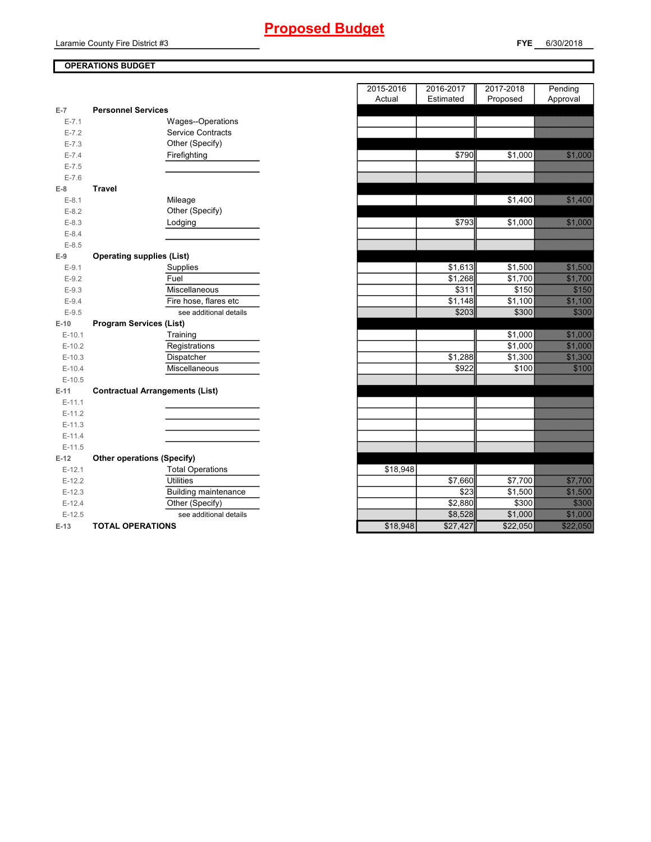# **Proposed Budget**

Laramie County Fire District #3

### **OPERATIONS BUDGET**

|           | <b>Personnel Services</b>              |  |
|-----------|----------------------------------------|--|
| $E-7$     |                                        |  |
| $E - 7.1$ | Wages--Operations                      |  |
| $E - 7.2$ | <b>Service Contracts</b>               |  |
| $E - 7.3$ | Other (Specify)                        |  |
| $E - 7.4$ | Firefighting                           |  |
| $E - 7.5$ |                                        |  |
| $E - 7.6$ |                                        |  |
| $E-8$     | <b>Travel</b>                          |  |
| $E-8.1$   | Mileage                                |  |
| $E-8.2$   | Other (Specify)                        |  |
| $E-8.3$   | Lodging                                |  |
| $E-8.4$   |                                        |  |
| $E-8.5$   |                                        |  |
| $E-9$     | <b>Operating supplies (List)</b>       |  |
| $E-9.1$   | Supplies                               |  |
| $E-9.2$   | Fuel                                   |  |
| $E-9.3$   | Miscellaneous                          |  |
| $E-9.4$   | Fire hose, flares etc                  |  |
| $E-9.5$   | see additional details                 |  |
| $E-10$    | <b>Program Services (List)</b>         |  |
| $E-10.1$  | Training                               |  |
| $E-10.2$  | Registrations                          |  |
| $E-10.3$  | Dispatcher                             |  |
| $E-10.4$  | Miscellaneous                          |  |
| $E-10.5$  |                                        |  |
| $E-11$    | <b>Contractual Arrangements (List)</b> |  |
| $E-11.1$  |                                        |  |
| $E-11.2$  |                                        |  |
| $E-11.3$  |                                        |  |
| $E-11.4$  |                                        |  |
| $E-11.5$  |                                        |  |
| $E-12$    | <b>Other operations (Specify)</b>      |  |
| $E-12.1$  | <b>Total Operations</b>                |  |
| $E-12.2$  | <b>Utilities</b>                       |  |
| $E-12.3$  | <b>Building maintenance</b>            |  |
| $E-12.4$  | Other (Specify)                        |  |
| $E-12.5$  | see additional details                 |  |
| $E-13$    | <b>TOTAL OPERATIONS</b>                |  |
|           |                                        |  |

|                |                                        | 2015-2016 | 2016-2017           | 2017-2018           | Pending                                                                                                              |
|----------------|----------------------------------------|-----------|---------------------|---------------------|----------------------------------------------------------------------------------------------------------------------|
| $\overline{7}$ | <b>Personnel Services</b>              | Actual    | Estimated           | Proposed            | Approval                                                                                                             |
| $E - 7.1$      | Wages--Operations                      |           |                     |                     |                                                                                                                      |
| $E - 7.2$      | <b>Service Contracts</b>               |           |                     |                     |                                                                                                                      |
| $E - 7.3$      | Other (Specify)                        |           |                     |                     |                                                                                                                      |
| $E - 7.4$      | Firefighting                           |           | \$790               | \$1,000             | a a concernation and a concern of the concern of the concern of the concern of the concern of the concern of         |
| $E - 7.5$      |                                        |           |                     |                     |                                                                                                                      |
| $E - 7.6$      |                                        |           |                     |                     |                                                                                                                      |
| 8              | <b>Travel</b>                          |           |                     |                     |                                                                                                                      |
| $E-8.1$        | Mileage                                |           |                     | \$1,400             |                                                                                                                      |
| $E-8.2$        | Other (Specify)                        |           |                     |                     |                                                                                                                      |
| $E-8.3$        | Lodging                                |           | \$793               | \$1,000             | 3888                                                                                                                 |
| $E-8.4$        |                                        |           |                     |                     |                                                                                                                      |
| $E-8.5$        |                                        |           |                     |                     |                                                                                                                      |
| 9              | <b>Operating supplies (List)</b>       |           |                     |                     |                                                                                                                      |
| $E-9.1$        | Supplies                               |           | \$1,613             | \$1,500             |                                                                                                                      |
| $E-9.2$        | Fuel                                   |           | $\overline{$}1,268$ | \$1,700             | <b>1999 - 1999 - 1999 - 1999 - 1999 - 1999 - 1999 - 1999 - 1999 - 1999 - 1999 - 1999 - 1999 - 1999 - 1999 - 1999</b> |
| $E-9.3$        | Miscellaneous                          |           | \$311               | \$150               |                                                                                                                      |
| $E-9.4$        | Fire hose, flares etc                  |           | \$1,148             | \$1,100             |                                                                                                                      |
| $E-9.5$        | see additional details                 |           | \$203               | \$300               | 333                                                                                                                  |
| $-10$          | <b>Program Services (List)</b>         |           |                     |                     |                                                                                                                      |
| $E-10.1$       | Training                               |           |                     | \$1,000             |                                                                                                                      |
| $E-10.2$       | Registrations                          |           |                     | \$1,000             |                                                                                                                      |
| $E-10.3$       | Dispatcher                             |           | \$1,288             | \$1,300             |                                                                                                                      |
| $E-10.4$       | Miscellaneous                          |           | \$922               | \$100               | 37038                                                                                                                |
| $E-10.5$       |                                        |           |                     |                     |                                                                                                                      |
| $-11$          | <b>Contractual Arrangements (List)</b> |           |                     |                     |                                                                                                                      |
| $E-11.1$       |                                        |           |                     |                     |                                                                                                                      |
| $E-11.2$       |                                        |           |                     |                     |                                                                                                                      |
| $E-11.3$       |                                        |           |                     |                     |                                                                                                                      |
| $E-11.4$       |                                        |           |                     |                     |                                                                                                                      |
| $E-11.5$       |                                        |           |                     |                     |                                                                                                                      |
| $-12$          | <b>Other operations (Specify)</b>      |           |                     |                     |                                                                                                                      |
| $E-12.1$       | <b>Total Operations</b>                | \$18,948  |                     |                     |                                                                                                                      |
| $E-12.2$       | <b>Utilities</b>                       |           | \$7,660             | \$7,700             |                                                                                                                      |
| $E-12.3$       | <b>Building maintenance</b>            |           | \$23                | \$1,500             |                                                                                                                      |
| $E-12.4$       | Other (Specify)                        |           | \$2,880             | \$300               | <b>SANTA COM</b>                                                                                                     |
| $E-12.5$       | see additional details                 |           | \$8,528             | $\overline{$}1,000$ | <u>e de la construcción de la construcción de la construcción de la construcción de la construcción de la constr</u> |
| $-13$          | <b>TOTAL OPERATIONS</b>                | \$18,948  | \$27,427            | \$22,050            | a a concelho ann an                                                                                                  |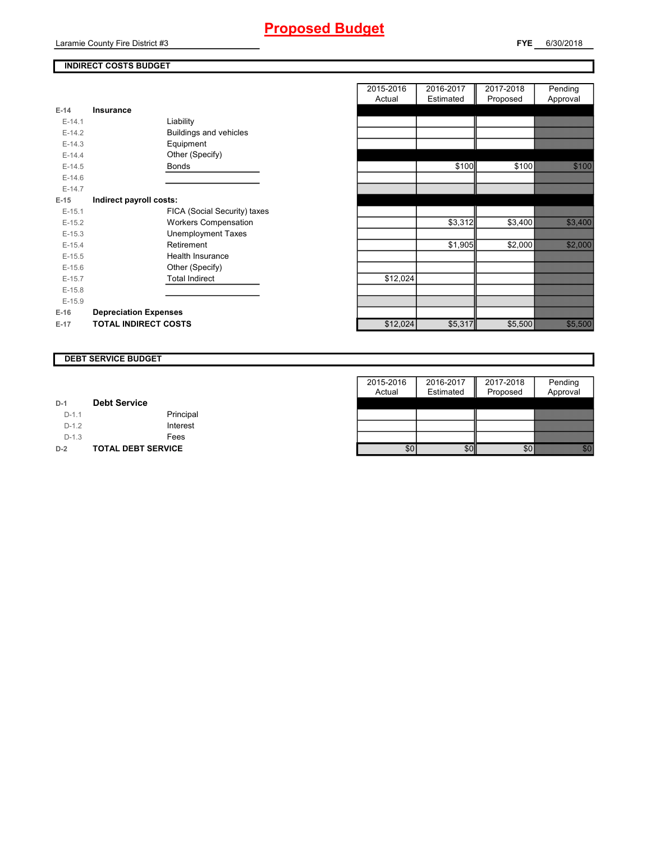### **INDIRECT COSTS BUDGET**

|          |                              | Actual   |
|----------|------------------------------|----------|
| $E-14$   | Insurance                    |          |
| $E-14.1$ | Liability                    |          |
| $E-14.2$ | Buildings and vehicles       |          |
| $E-14.3$ | Equipment                    |          |
| $E-14.4$ | Other (Specify)              |          |
| $E-14.5$ | <b>Bonds</b>                 |          |
| $E-14.6$ |                              |          |
| $E-14.7$ |                              |          |
| $E-15$   | Indirect payroll costs:      |          |
| $E-15.1$ | FICA (Social Security) taxes |          |
| $E-15.2$ | <b>Workers Compensation</b>  |          |
| $E-15.3$ | <b>Unemployment Taxes</b>    |          |
| $E-15.4$ | Retirement                   |          |
| $E-15.5$ | <b>Health Insurance</b>      |          |
| $E-15.6$ | Other (Specify)              |          |
| $E-15.7$ | <b>Total Indirect</b>        | \$12,024 |
| $E-15.8$ |                              |          |
| $E-15.9$ |                              |          |
| $E-16$   | <b>Depreciation Expenses</b> |          |
| $E-17$   | <b>TOTAL INDIRECT COSTS</b>  | \$12,024 |

|          |                               | 2015-2016 | 2016-2017 | 2017-2018 | Pending                                                                                                        |
|----------|-------------------------------|-----------|-----------|-----------|----------------------------------------------------------------------------------------------------------------|
|          |                               | Actual    | Estimated | Proposed  | Approval                                                                                                       |
| $E-14$   | Insurance                     |           |           |           |                                                                                                                |
| $E-14.1$ | Liability                     |           |           |           |                                                                                                                |
| $E-14.2$ | <b>Buildings and vehicles</b> |           |           |           |                                                                                                                |
| $E-14.3$ | Equipment                     |           |           |           |                                                                                                                |
| $E-14.4$ | Other (Specify)               |           |           |           |                                                                                                                |
| $E-14.5$ | Bonds                         |           | \$100     | \$100     | <b>SANSON</b>                                                                                                  |
| $E-14.6$ |                               |           |           |           |                                                                                                                |
| $E-14.7$ |                               |           |           |           |                                                                                                                |
| $E-15$   | Indirect payroll costs:       |           |           |           |                                                                                                                |
| $E-15.1$ | FICA (Social Security) taxes  |           |           |           |                                                                                                                |
| $E-15.2$ | <b>Workers Compensation</b>   |           | \$3,312   | \$3,400   | a a chuid ann an Chuid an Chuid an Chuid an Chuid an Chuid an Chuid an Chuid an Chuid an Chuid an Chuid an Chu |
| $E-15.3$ | <b>Unemployment Taxes</b>     |           |           |           |                                                                                                                |
| $E-15.4$ | Retirement                    |           | \$1,905   | \$2,000   | <u> Simonski</u>                                                                                               |
| $E-15.5$ | <b>Health Insurance</b>       |           |           |           |                                                                                                                |
| $E-15.6$ | Other (Specify)               |           |           |           |                                                                                                                |
| $E-15.7$ | <b>Total Indirect</b>         | \$12,024  |           |           |                                                                                                                |
| $E-15.8$ |                               |           |           |           |                                                                                                                |
| $E-15.9$ |                               |           |           |           |                                                                                                                |
| E-16     | <b>Depreciation Expenses</b>  |           |           |           |                                                                                                                |
| E-17     | <b>TOTAL INDIRECT COSTS</b>   | \$12,024  | \$5,317   | \$5,500   | <b>Sanski</b>                                                                                                  |
|          |                               |           |           |           |                                                                                                                |

#### **DEBT SERVICE BUDGET**

|         |                           | 2015-2016 | 2016-2017 | 2017-2018 | Pending  |
|---------|---------------------------|-----------|-----------|-----------|----------|
|         |                           | Actual    | Estimated | Proposed  | Approval |
| $D-1$   | <b>Debt Service</b>       |           |           |           |          |
| $D-1.1$ | Principal                 |           |           |           |          |
| $D-1.2$ | Interest                  |           |           |           |          |
| $D-1.3$ | Fees                      |           |           |           |          |
| $D-2$   | <b>TOTAL DEBT SERVICE</b> | \$0       | \$0       |           |          |